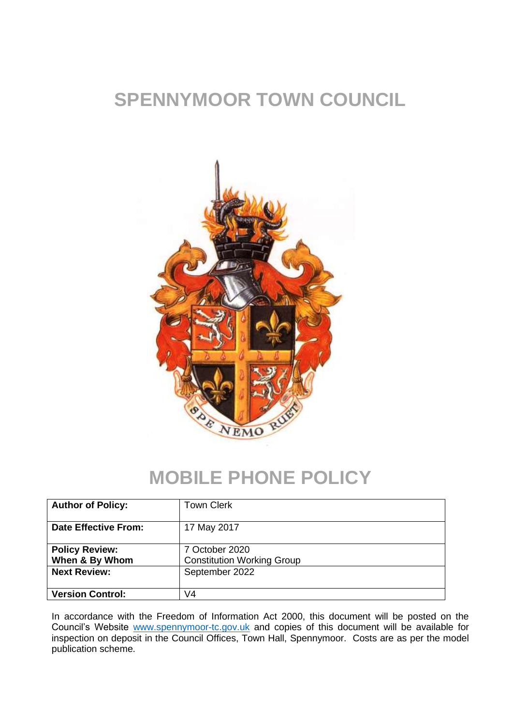# **SPENNYMOOR TOWN COUNCIL**



### **MOBILE PHONE POLICY**

| <b>Author of Policy:</b>                                       | <b>Town Clerk</b>                                                     |
|----------------------------------------------------------------|-----------------------------------------------------------------------|
| <b>Date Effective From:</b>                                    | 17 May 2017                                                           |
| <b>Policy Review:</b><br>When & By Whom<br><b>Next Review:</b> | 7 October 2020<br><b>Constitution Working Group</b><br>September 2022 |
| <b>Version Control:</b>                                        | V4                                                                    |

In accordance with the Freedom of Information Act 2000, this document will be posted on the Council's Website [www.spennymoor-tc.gov.uk](http://www.spennymoor-tc.gov.uk/) and copies of this document will be available for inspection on deposit in the Council Offices, Town Hall, Spennymoor. Costs are as per the model publication scheme.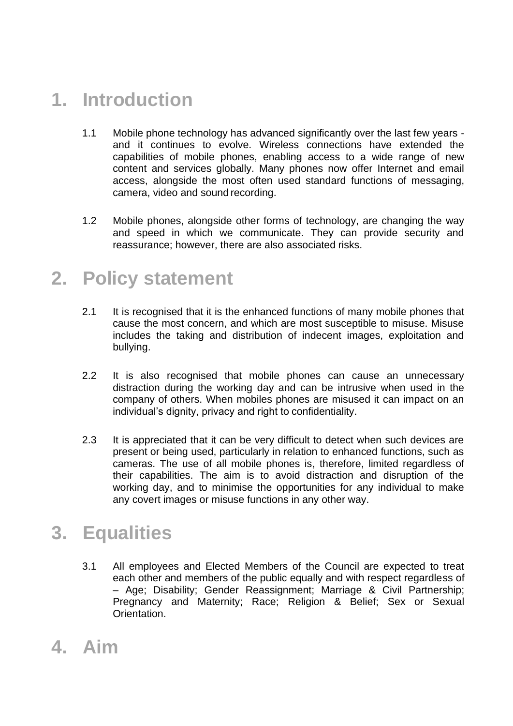# **1. Introduction**

- 1.1 Mobile phone technology has advanced significantly over the last few years and it continues to evolve. Wireless connections have extended the capabilities of mobile phones, enabling access to a wide range of new content and services globally. Many phones now offer Internet and email access, alongside the most often used standard functions of messaging, camera, video and sound recording.
- 1.2 Mobile phones, alongside other forms of technology, are changing the way and speed in which we communicate. They can provide security and reassurance; however, there are also associated risks.

### **2. Policy statement**

- 2.1 It is recognised that it is the enhanced functions of many mobile phones that cause the most concern, and which are most susceptible to misuse. Misuse includes the taking and distribution of indecent images, exploitation and bullying.
- 2.2 It is also recognised that mobile phones can cause an unnecessary distraction during the working day and can be intrusive when used in the company of others. When mobiles phones are misused it can impact on an individual's dignity, privacy and right to confidentiality.
- 2.3 It is appreciated that it can be very difficult to detect when such devices are present or being used, particularly in relation to enhanced functions, such as cameras. The use of all mobile phones is, therefore, limited regardless of their capabilities. The aim is to avoid distraction and disruption of the working day, and to minimise the opportunities for any individual to make any covert images or misuse functions in any other way.

### **3. Equalities**

- 3.1 All employees and Elected Members of the Council are expected to treat each other and members of the public equally and with respect regardless of – Age; Disability; Gender Reassignment; Marriage & Civil Partnership; Pregnancy and Maternity; Race; Religion & Belief; Sex or Sexual Orientation.
- **4. Aim**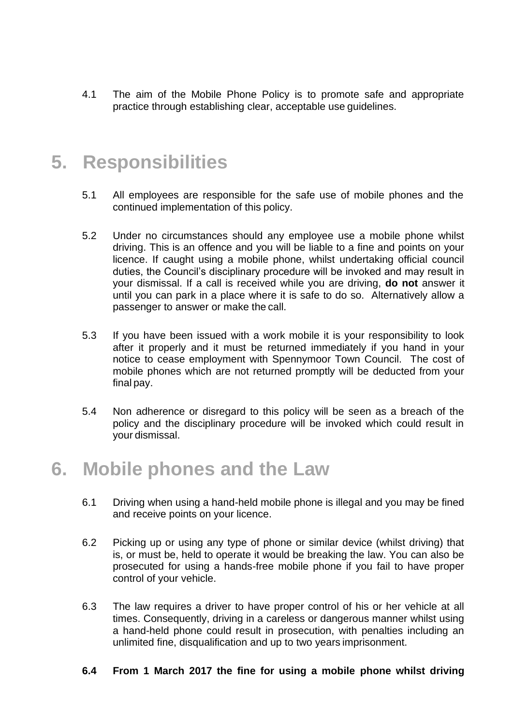4.1 The aim of the Mobile Phone Policy is to promote safe and appropriate practice through establishing clear, acceptable use guidelines.

### **5. Responsibilities**

- 5.1 All employees are responsible for the safe use of mobile phones and the continued implementation of this policy.
- 5.2 Under no circumstances should any employee use a mobile phone whilst driving. This is an offence and you will be liable to a fine and points on your licence. If caught using a mobile phone, whilst undertaking official council duties, the Council's disciplinary procedure will be invoked and may result in your dismissal. If a call is received while you are driving, **do not** answer it until you can park in a place where it is safe to do so. Alternatively allow a passenger to answer or make the call.
- 5.3 If you have been issued with a work mobile it is your responsibility to look after it properly and it must be returned immediately if you hand in your notice to cease employment with Spennymoor Town Council. The cost of mobile phones which are not returned promptly will be deducted from your final pay.
- 5.4 Non adherence or disregard to this policy will be seen as a breach of the policy and the disciplinary procedure will be invoked which could result in your dismissal.

#### **6. Mobile phones and the Law**

- 6.1 Driving when using a hand-held mobile phone is illegal and you may be fined and receive points on your licence.
- 6.2 Picking up or using any type of phone or similar device (whilst driving) that is, or must be, held to operate it would be breaking the law. You can also be prosecuted for using a hands-free mobile phone if you fail to have proper control of your vehicle.
- 6.3 The law requires a driver to have proper control of his or her vehicle at all times. Consequently, driving in a careless or dangerous manner whilst using a hand-held phone could result in prosecution, with penalties including an unlimited fine, disqualification and up to two years imprisonment.
- **6.4 From 1 March 2017 the fine for using a mobile phone whilst driving**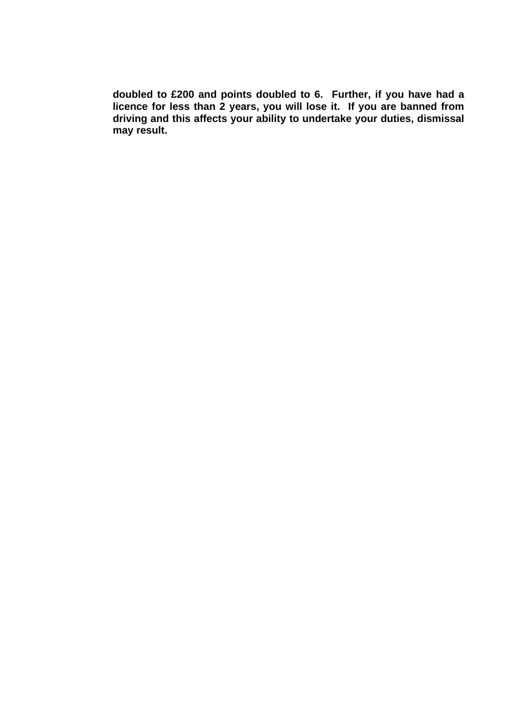**doubled to £200 and points doubled to 6. Further, if you have had a licence for less than 2 years, you will lose it. If you are banned from driving and this affects your ability to undertake your duties, dismissal may result.**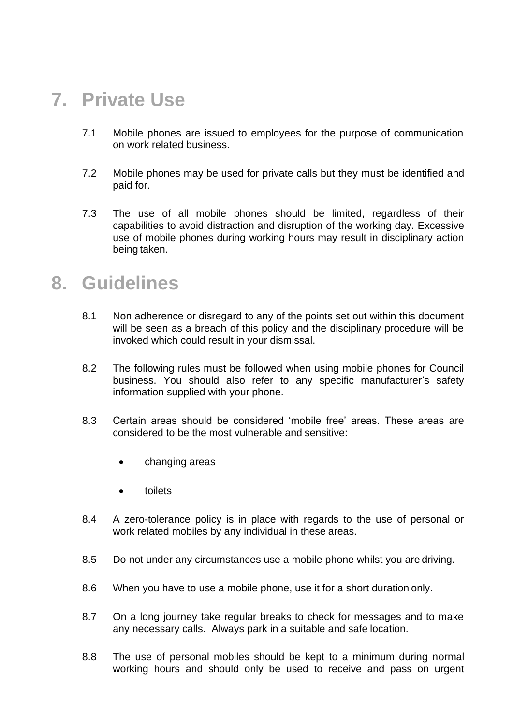## **7. Private Use**

- 7.1 Mobile phones are issued to employees for the purpose of communication on work related business.
- 7.2 Mobile phones may be used for private calls but they must be identified and paid for.
- 7.3 The use of all mobile phones should be limited, regardless of their capabilities to avoid distraction and disruption of the working day. Excessive use of mobile phones during working hours may result in disciplinary action being taken.

#### **8. Guidelines**

- 8.1 Non adherence or disregard to any of the points set out within this document will be seen as a breach of this policy and the disciplinary procedure will be invoked which could result in your dismissal.
- 8.2 The following rules must be followed when using mobile phones for Council business. You should also refer to any specific manufacturer's safety information supplied with your phone.
- 8.3 Certain areas should be considered 'mobile free' areas. These areas are considered to be the most vulnerable and sensitive:
	- changing areas
	- toilets
- 8.4 A zero-tolerance policy is in place with regards to the use of personal or work related mobiles by any individual in these areas.
- 8.5 Do not under any circumstances use a mobile phone whilst you are driving.
- 8.6 When you have to use a mobile phone, use it for a short duration only.
- 8.7 On a long journey take regular breaks to check for messages and to make any necessary calls. Always park in a suitable and safe location.
- 8.8 The use of personal mobiles should be kept to a minimum during normal working hours and should only be used to receive and pass on urgent